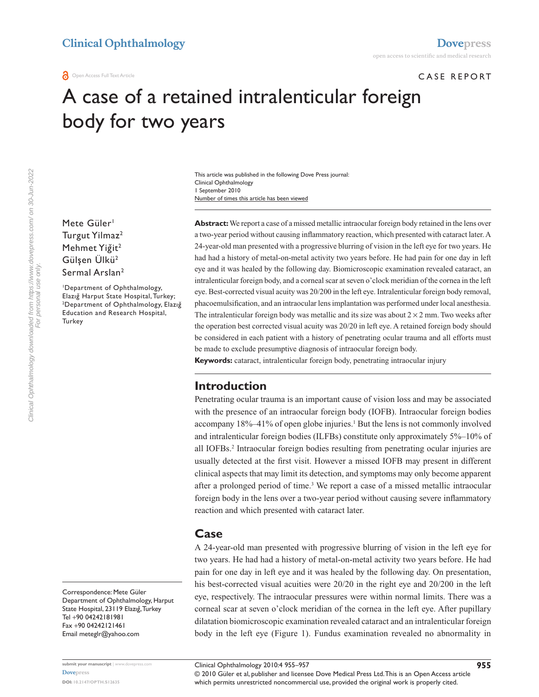### CASE REPORT

# A case of a retained intralenticular foreign body for two years

Number of times this article has been viewed This article was published in the following Dove Press journal: Clinical Ophthalmology 1 September 2010

Mete Güler<sup>1</sup> Turgut Yilmaz<sup>2</sup> Mehmet Yiğit<sup>2</sup> Gülşen Ülkü<sup>2</sup> Sermal Arslan<sup>2</sup>

1 Department of Ophthalmology, Elazığ Harput State Hospital, Turkey; <sup>2</sup>Department of Ophthalmology, Elazığ Education and Research Hospital, **Turkey** 

Correspondence: Mete Güler Department of Ophthalmology, Harput State Hospital, 23119 Elazığ, Turkey Tel +90 04242181981 Fax +90 04242121461 Email meteglr@yahoo.com

**Abstract:** We report a case of a missed metallic intraocular foreign body retained in the lens over a two-year period without causing inflammatory reaction, which presented with cataract later. A 24-year-old man presented with a progressive blurring of vision in the left eye for two years. He had had a history of metal-on-metal activity two years before. He had pain for one day in left eye and it was healed by the following day. Biomicroscopic examination revealed cataract, an intralenticular foreign body, and a corneal scar at seven o'clock meridian of the cornea in the left eye. Best-corrected visual acuity was 20/200 in the left eye. Intralenticular foreign body removal, phacoemulsification, and an intraocular lens implantation was performed under local anesthesia. The intralenticular foreign body was metallic and its size was about  $2 \times 2$  mm. Two weeks after the operation best corrected visual acuity was 20/20 in left eye. A retained foreign body should be considered in each patient with a history of penetrating ocular trauma and all efforts must be made to exclude presumptive diagnosis of intraocular foreign body.

**Keywords:** cataract, intralenticular foreign body, penetrating intraocular injury

## **Introduction**

Penetrating ocular trauma is an important cause of vision loss and may be associated with the presence of an intraocular foreign body (IOFB). Intraocular foreign bodies accompany 18%–41% of open globe injuries.<sup>1</sup> But the lens is not commonly involved and intralenticular foreign bodies (ILFBs) constitute only approximately 5%–10% of all IOFBs.2 Intraocular foreign bodies resulting from penetrating ocular injuries are usually detected at the first visit. However a missed IOFB may present in different clinical aspects that may limit its detection, and symptoms may only become apparent after a prolonged period of time.<sup>3</sup> We report a case of a missed metallic intraocular foreign body in the lens over a two-year period without causing severe inflammatory reaction and which presented with cataract later.

## **Case**

A 24-year-old man presented with progressive blurring of vision in the left eye for two years. He had had a history of metal-on-metal activity two years before. He had pain for one day in left eye and it was healed by the following day. On presentation, his best-corrected visual acuities were 20/20 in the right eye and 20/200 in the left eye, respectively. The intraocular pressures were within normal limits. There was a corneal scar at seven o'clock meridian of the cornea in the left eye. After pupillary dilatation biomicroscopic examination revealed cataract and an intralenticular foreign body in the left eye (Figure 1). Fundus examination revealed no abnormality in

© 2010 Güler et al, publisher and licensee Dove Medical Press Ltd. This is an Open Access article which permits unrestricted noncommercial use, provided the original work is properly cited.

Clinical Ophthalmology 2010:4 955–957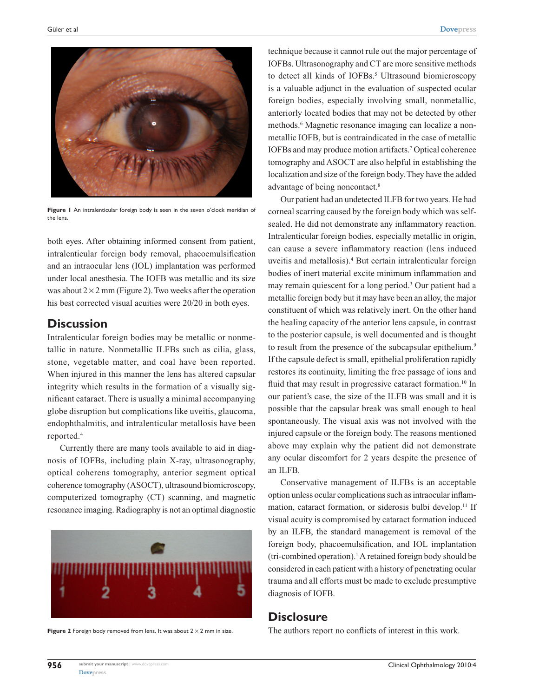

**Figure 1** An intralenticular foreign body is seen in the seven o'clock meridian of the lens.

both eyes. After obtaining informed consent from patient, intralenticular foreign body removal, phacoemulsification and an intraocular lens (IOL) implantation was performed under local anesthesia. The IOFB was metallic and its size was about  $2 \times 2$  mm (Figure 2). Two weeks after the operation his best corrected visual acuities were 20/20 in both eyes.

# **Discussion**

Intralenticular foreign bodies may be metallic or nonmetallic in nature. Nonmetallic ILFBs such as cilia, glass, stone, vegetable matter, and coal have been reported. When injured in this manner the lens has altered capsular integrity which results in the formation of a visually significant cataract. There is usually a minimal accompanying globe disruption but complications like uveitis, glaucoma, endophthalmitis, and intralenticular metallosis have been reported.4

Currently there are many tools available to aid in diagnosis of IOFBs, including plain X-ray, ultrasonography, optical coherens tomography, anterior segment optical coherence tomography (ASOCT), ultrasound biomicroscopy, computerized tomography (CT) scanning, and magnetic resonance imaging. Radiography is not an optimal diagnostic



**Figure 2** Foreign body removed from lens. It was about 2 × 2 mm in size.

technique because it cannot rule out the major percentage of IOFBs. Ultrasonography and CT are more sensitive methods to detect all kinds of IOFBs.<sup>5</sup> Ultrasound biomicroscopy is a valuable adjunct in the evaluation of suspected ocular foreign bodies, especially involving small, nonmetallic, anteriorly located bodies that may not be detected by other methods.6 Magnetic resonance imaging can localize a nonmetallic IOFB, but is contraindicated in the case of metallic IOFBs and may produce motion artifacts.7 Optical coherence tomography and ASOCT are also helpful in establishing the localization and size of the foreign body. They have the added advantage of being noncontact.8

Our patient had an undetected ILFB for two years. He had corneal scarring caused by the foreign body which was selfsealed. He did not demonstrate any inflammatory reaction. Intralenticular foreign bodies, especially metallic in origin, can cause a severe inflammatory reaction (lens induced uveitis and metallosis).4 But certain intralenticular foreign bodies of inert material excite minimum inflammation and may remain quiescent for a long period.<sup>3</sup> Our patient had a metallic foreign body but it may have been an alloy, the major constituent of which was relatively inert. On the other hand the healing capacity of the anterior lens capsule, in contrast to the posterior capsule, is well documented and is thought to result from the presence of the subcapsular epithelium.<sup>9</sup> If the capsule defect is small, epithelial proliferation rapidly restores its continuity, limiting the free passage of ions and fluid that may result in progressive cataract formation.<sup>10</sup> In our patient's case, the size of the ILFB was small and it is possible that the capsular break was small enough to heal spontaneously. The visual axis was not involved with the injured capsule or the foreign body. The reasons mentioned above may explain why the patient did not demonstrate any ocular discomfort for 2 years despite the presence of an ILFB.

Conservative management of ILFBs is an acceptable option unless ocular complications such as intraocular inflammation, cataract formation, or siderosis bulbi develop.<sup>11</sup> If visual acuity is compromised by cataract formation induced by an ILFB, the standard management is removal of the foreign body, phacoemulsification, and IOL implantation (tri-combined operation).1 A retained foreign body should be considered in each patient with a history of penetrating ocular trauma and all efforts must be made to exclude presumptive diagnosis of IOFB.

# **Disclosure**

The authors report no conflicts of interest in this work.